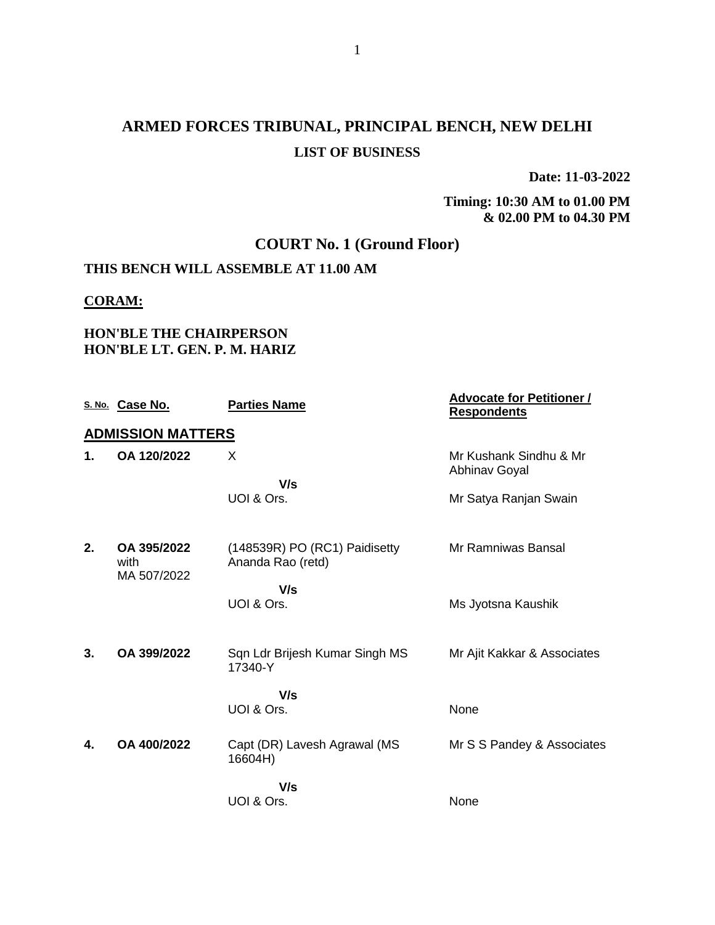# **ARMED FORCES TRIBUNAL, PRINCIPAL BENCH, NEW DELHI LIST OF BUSINESS**

**Date: 11-03-2022**

**Timing: 10:30 AM to 01.00 PM & 02.00 PM to 04.30 PM**

## **COURT No. 1 (Ground Floor)**

### **THIS BENCH WILL ASSEMBLE AT 11.00 AM**

#### **CORAM:**

## **HON'BLE THE CHAIRPERSON HON'BLE LT. GEN. P. M. HARIZ**

|    | S. No. Case No.                    | <b>Parties Name</b>                                | <b>Advocate for Petitioner /</b><br><b>Respondents</b> |
|----|------------------------------------|----------------------------------------------------|--------------------------------------------------------|
|    | <b>ADMISSION MATTERS</b>           |                                                    |                                                        |
| 1. | OA 120/2022                        | X                                                  | Mr Kushank Sindhu & Mr<br><b>Abhinav Goyal</b>         |
|    |                                    | V/s<br>UOI & Ors.                                  | Mr Satya Ranjan Swain                                  |
| 2. | OA 395/2022<br>with<br>MA 507/2022 | (148539R) PO (RC1) Paidisetty<br>Ananda Rao (retd) | Mr Ramniwas Bansal                                     |
|    |                                    | V/s<br>UOI & Ors.                                  | Ms Jyotsna Kaushik                                     |
| 3. | OA 399/2022                        | Sqn Ldr Brijesh Kumar Singh MS<br>17340-Y          | Mr Ajit Kakkar & Associates                            |
|    |                                    | V/s<br>UOI & Ors.                                  | None                                                   |
| 4. | OA 400/2022                        | Capt (DR) Lavesh Agrawal (MS<br>16604H)            | Mr S S Pandey & Associates                             |
|    |                                    | V/s<br>UOI & Ors.                                  | None                                                   |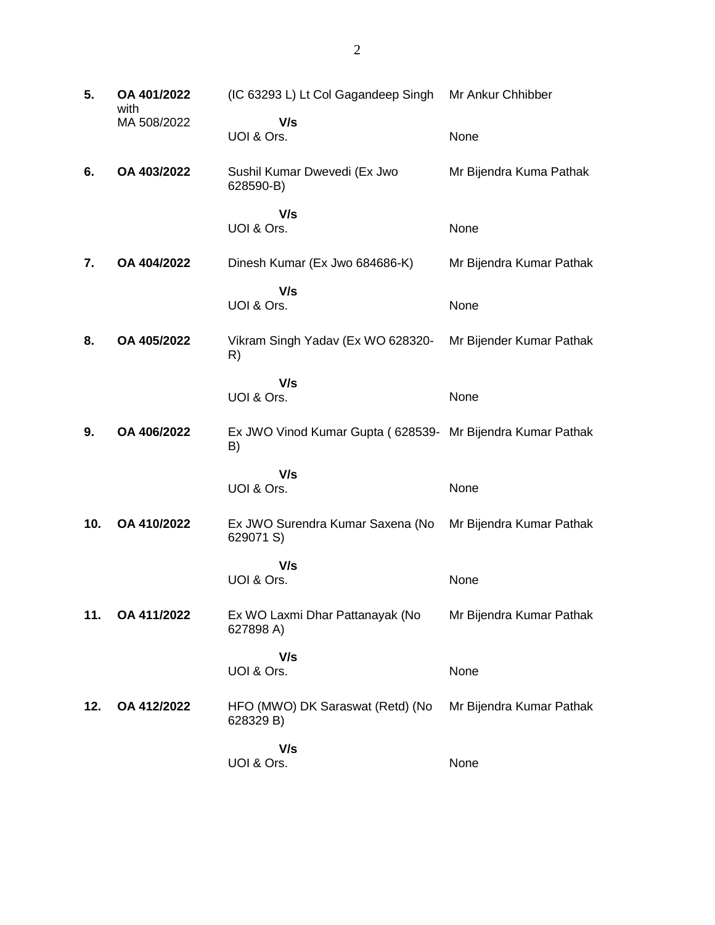| 5.  | OA 401/2022<br>with | (IC 63293 L) Lt Col Gagandeep Singh                              | Mr Ankur Chhibber        |
|-----|---------------------|------------------------------------------------------------------|--------------------------|
|     | MA 508/2022         | V/s<br>UOI & Ors.                                                | None                     |
| 6.  | OA 403/2022         | Sushil Kumar Dwevedi (Ex Jwo<br>628590-B)                        | Mr Bijendra Kuma Pathak  |
|     |                     | V/s<br>UOI & Ors.                                                | None                     |
| 7.  | OA 404/2022         | Dinesh Kumar (Ex Jwo 684686-K)                                   | Mr Bijendra Kumar Pathak |
|     |                     | V/s<br>UOI & Ors.                                                | None                     |
| 8.  | OA 405/2022         | Vikram Singh Yadav (Ex WO 628320-<br>R)                          | Mr Bijender Kumar Pathak |
|     |                     | V/s<br>UOI & Ors.                                                | None                     |
| 9.  | OA 406/2022         | Ex JWO Vinod Kumar Gupta (628539- Mr Bijendra Kumar Pathak<br>B) |                          |
|     |                     | V/s<br>UOI & Ors.                                                | None                     |
| 10. | OA 410/2022         | Ex JWO Surendra Kumar Saxena (No<br>629071 S)                    | Mr Bijendra Kumar Pathak |
|     |                     | V/s<br>UOI & Ors.                                                | None                     |
| 11. | OA 411/2022         | Ex WO Laxmi Dhar Pattanayak (No<br>627898 A)                     | Mr Bijendra Kumar Pathak |
|     |                     | V/s<br>UOI & Ors.                                                | None                     |
| 12. | OA 412/2022         | HFO (MWO) DK Saraswat (Retd) (No<br>628329 B)                    | Mr Bijendra Kumar Pathak |
|     |                     | V/s<br>UOI & Ors.                                                | None                     |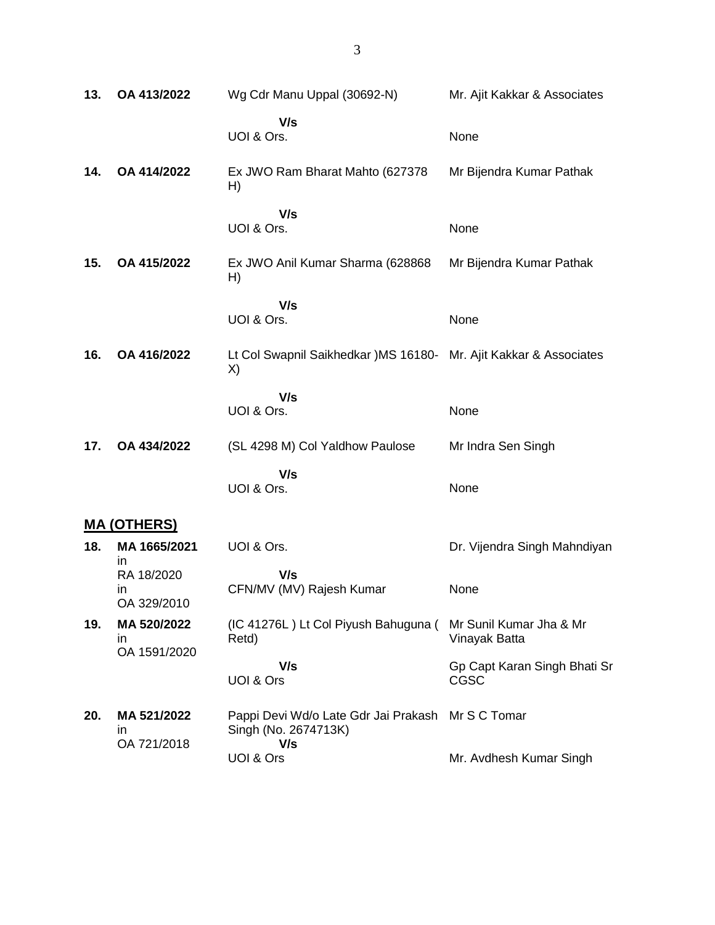| 13. | OA 413/2022                      | Wg Cdr Manu Uppal (30692-N)                                             | Mr. Ajit Kakkar & Associates             |
|-----|----------------------------------|-------------------------------------------------------------------------|------------------------------------------|
|     |                                  | V/s<br>UOI & Ors.                                                       | None                                     |
| 14. | OA 414/2022                      | Ex JWO Ram Bharat Mahto (627378<br>H)                                   | Mr Bijendra Kumar Pathak                 |
|     |                                  | V/s<br>UOI & Ors.                                                       | None                                     |
| 15. | OA 415/2022                      | Ex JWO Anil Kumar Sharma (628868)<br>H)                                 | Mr Bijendra Kumar Pathak                 |
|     |                                  | V/s<br>UOI & Ors.                                                       | None                                     |
| 16. | OA 416/2022                      | Lt Col Swapnil Saikhedkar )MS 16180- Mr. Ajit Kakkar & Associates<br>X) |                                          |
|     |                                  | V/s<br>UOI & Ors.                                                       | None                                     |
| 17. | OA 434/2022                      | (SL 4298 M) Col Yaldhow Paulose                                         | Mr Indra Sen Singh                       |
|     |                                  | V/s<br>UOI & Ors.                                                       | None                                     |
|     | <b>MA (OTHERS)</b>               |                                                                         |                                          |
| 18. | MA 1665/2021<br>in               | UOI & Ors.                                                              | Dr. Vijendra Singh Mahndiyan             |
|     | RA 18/2020                       | V/s                                                                     |                                          |
|     | in<br>OA 329/2010                | CFN/MV (MV) Rajesh Kumar                                                | None                                     |
| 19. | MA 520/2022<br>in                | (IC 41276L) Lt Col Piyush Bahuguna (<br>Retd)                           | Mr Sunil Kumar Jha & Mr<br>Vinayak Batta |
|     | OA 1591/2020                     | V/s<br>UOI & Ors                                                        | Gp Capt Karan Singh Bhati Sr<br>CGSC     |
| 20. | MA 521/2022<br>in<br>OA 721/2018 | Pappi Devi Wd/o Late Gdr Jai Prakash<br>Singh (No. 2674713K)<br>V/s     | Mr S C Tomar                             |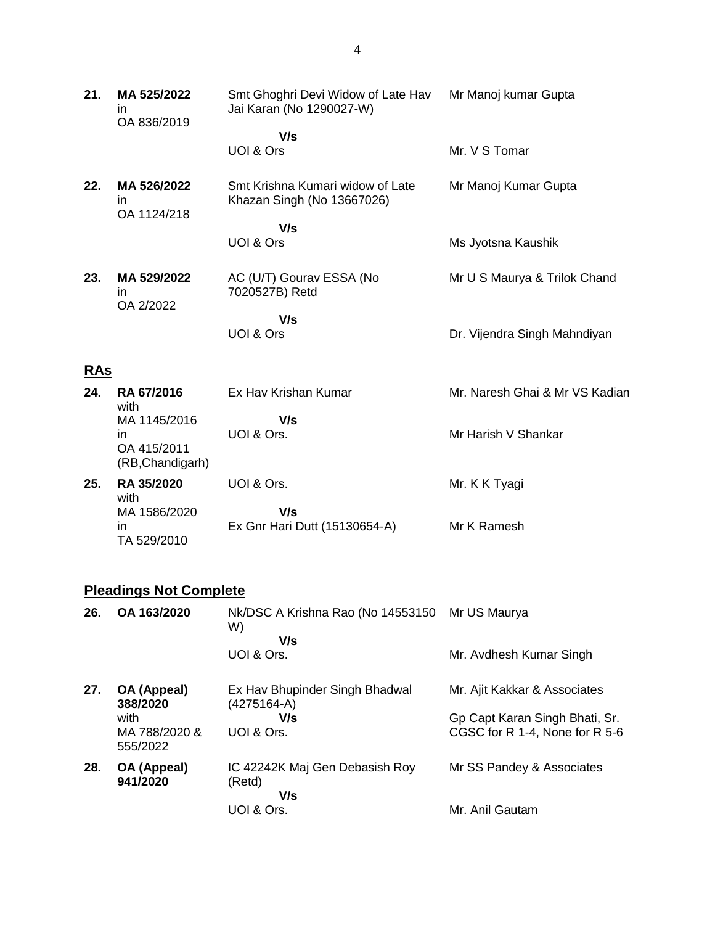- **21. MA 525/2022** in OA 836/2019 Smt Ghoghri Devi Widow of Late Hav Jai Karan (No 1290027-W)  **V/s** Mr Manoj kumar Gupta
	- UOI & Ors
- **22. MA 526/2022** in OA 1124/218 Smt Krishna Kumari widow of Late Khazan Singh (No 13667026) Mr Manoj Kumar Gupta

 **V/s** UOI & Ors

**23. MA 529/2022** in OA 2/2022 AC (U/T) Gourav ESSA (No 7020527B) Retd  **V/s** UOI & Ors Mr U S Maurya & Trilok Chand Dr. Vijendra Singh Mahndiyan

## **RAs**

**24. RA 67/2016** with MA 1145/2016 in OA 415/2011 (RB,Chandigarh) Ex Hav Krishan Kumar  **V/s** UOI & Ors. Mr. Naresh Ghai & Mr VS Kadian Mr Harish V Shankar **25. RA 35/2020** with MA 1586/2020 in TA 529/2010 UOI & Ors.  **V/s** Ex Gnr Hari Dutt (15130654-A) Mr. K K Tyagi Mr K Ramesh

### **Pleadings Not Complete**

| 26. | OA 163/2020                       | Nk/DSC A Krishna Rao (No 14553150<br>W)       | Mr US Maurya                                                     |
|-----|-----------------------------------|-----------------------------------------------|------------------------------------------------------------------|
|     |                                   | V/s<br>UOI & Ors.                             | Mr. Avdhesh Kumar Singh                                          |
| 27. | OA (Appeal)<br>388/2020           | Ex Hav Bhupinder Singh Bhadwal<br>(4275164-A) | Mr. Ajit Kakkar & Associates                                     |
|     | with<br>MA 788/2020 &<br>555/2022 | V/s<br>UOI & Ors.                             | Gp Capt Karan Singh Bhati, Sr.<br>CGSC for R 1-4, None for R 5-6 |
| 28. | OA (Appeal)<br>941/2020           | IC 42242K Maj Gen Debasish Roy<br>(Retd)      | Mr SS Pandey & Associates                                        |
|     |                                   | V/s                                           |                                                                  |
|     |                                   | UOI & Ors.                                    | Mr. Anil Gautam                                                  |

Mr. V S Tomar

Ms Jyotsna Kaushik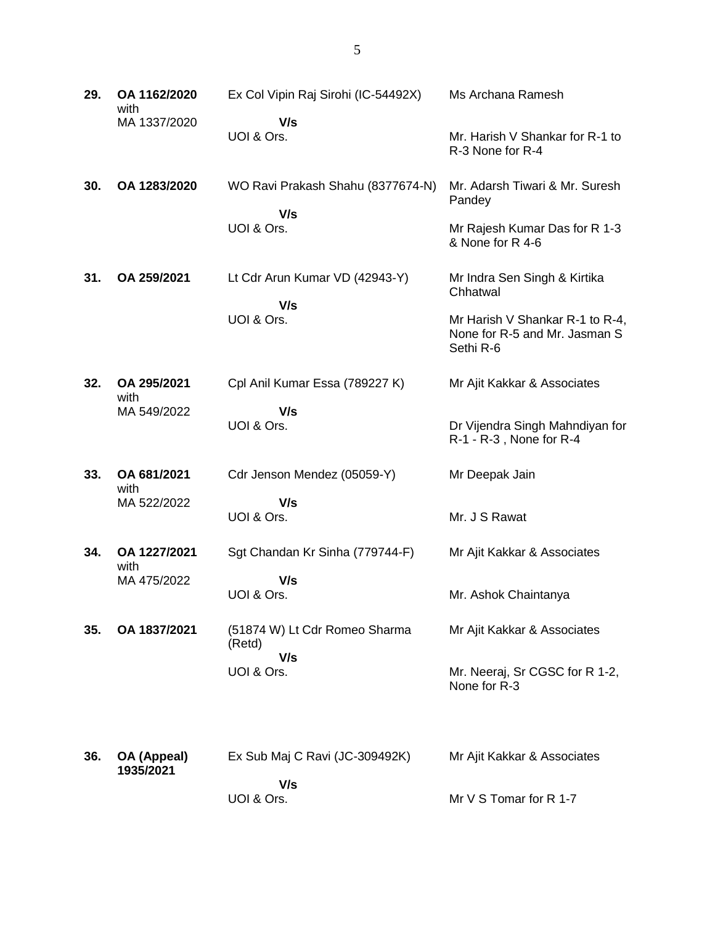| 29. | OA 1162/2020<br>with     | Ex Col Vipin Raj Sirohi (IC-54492X)     | Ms Archana Ramesh                                                             |
|-----|--------------------------|-----------------------------------------|-------------------------------------------------------------------------------|
|     | MA 1337/2020             | V/s<br>UOI & Ors.                       | Mr. Harish V Shankar for R-1 to<br>R-3 None for R-4                           |
| 30. | OA 1283/2020             | WO Ravi Prakash Shahu (8377674-N)       | Mr. Adarsh Tiwari & Mr. Suresh<br>Pandey                                      |
|     |                          | V/s<br>UOI & Ors.                       | Mr Rajesh Kumar Das for R 1-3<br>& None for R 4-6                             |
| 31. | OA 259/2021              | Lt Cdr Arun Kumar VD (42943-Y)          | Mr Indra Sen Singh & Kirtika<br>Chhatwal                                      |
|     |                          | V/s<br>UOI & Ors.                       | Mr Harish V Shankar R-1 to R-4,<br>None for R-5 and Mr. Jasman S<br>Sethi R-6 |
| 32. | OA 295/2021<br>with      | Cpl Anil Kumar Essa (789227 K)          | Mr Ajit Kakkar & Associates                                                   |
|     | MA 549/2022              | V/s<br>UOI & Ors.                       | Dr Vijendra Singh Mahndiyan for<br>R-1 - R-3, None for R-4                    |
| 33. | OA 681/2021<br>with      | Cdr Jenson Mendez (05059-Y)             | Mr Deepak Jain                                                                |
|     | MA 522/2022              | V/s<br>UOI & Ors.                       | Mr. J S Rawat                                                                 |
| 34. | OA 1227/2021<br>with     | Sgt Chandan Kr Sinha (779744-F)         | Mr Ajit Kakkar & Associates                                                   |
|     | MA 475/2022              | V/s<br>UOI & Ors.                       | Mr. Ashok Chaintanya                                                          |
| 35. | OA 1837/2021             | (51874 W) Lt Cdr Romeo Sharma<br>(Retd) | Mr Ajit Kakkar & Associates                                                   |
|     |                          | V/s<br>UOI & Ors.                       | Mr. Neeraj, Sr CGSC for R 1-2,<br>None for R-3                                |
| 36. | OA (Appeal)<br>1935/2021 | Ex Sub Maj C Ravi (JC-309492K)          | Mr Ajit Kakkar & Associates                                                   |
|     |                          | V/s<br>UOI & Ors.                       | Mr V S Tomar for R 1-7                                                        |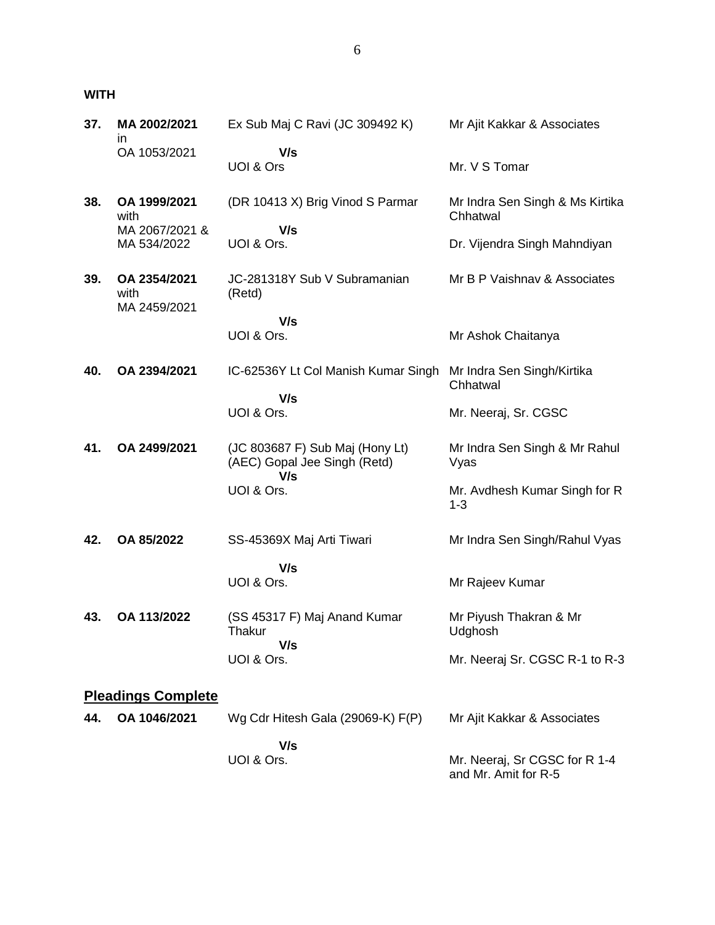**WITH**

| 37. | MA 2002/2021                           | Ex Sub Maj C Ravi (JC 309492 K)                                        | Mr Ajit Kakkar & Associates                           |
|-----|----------------------------------------|------------------------------------------------------------------------|-------------------------------------------------------|
|     | ın<br>OA 1053/2021                     | V/s<br>UOI & Ors                                                       | Mr. V S Tomar                                         |
| 38. | OA 1999/2021<br>with<br>MA 2067/2021 & | (DR 10413 X) Brig Vinod S Parmar<br>V/s                                | Mr Indra Sen Singh & Ms Kirtika<br>Chhatwal           |
|     | MA 534/2022                            | UOI & Ors.                                                             | Dr. Vijendra Singh Mahndiyan                          |
| 39. | OA 2354/2021<br>with<br>MA 2459/2021   | JC-281318Y Sub V Subramanian<br>(Retd)                                 | Mr B P Vaishnav & Associates                          |
|     |                                        | V/s                                                                    |                                                       |
|     |                                        | UOI & Ors.                                                             | Mr Ashok Chaitanya                                    |
| 40. | OA 2394/2021                           | IC-62536Y Lt Col Manish Kumar Singh                                    | Mr Indra Sen Singh/Kirtika<br>Chhatwal                |
|     |                                        | V/s<br>UOI & Ors.                                                      | Mr. Neeraj, Sr. CGSC                                  |
| 41. | OA 2499/2021                           | (JC 803687 F) Sub Maj (Hony Lt)<br>(AEC) Gopal Jee Singh (Retd)<br>V/s | Mr Indra Sen Singh & Mr Rahul<br>Vyas                 |
|     |                                        | UOI & Ors.                                                             | Mr. Avdhesh Kumar Singh for R<br>$1 - 3$              |
| 42. | OA 85/2022                             | SS-45369X Maj Arti Tiwari                                              | Mr Indra Sen Singh/Rahul Vyas                         |
|     |                                        | V/s                                                                    |                                                       |
|     |                                        | UOI & Ors.                                                             | Mr Rajeev Kumar                                       |
| 43. | OA 113/2022                            | (SS 45317 F) Maj Anand Kumar<br>Thakur<br>V/s                          | Mr Piyush Thakran & Mr<br>Udghosh                     |
|     |                                        | UOI & Ors.                                                             | Mr. Neeraj Sr. CGSC R-1 to R-3                        |
|     | <b>Pleadings Complete</b>              |                                                                        |                                                       |
| 44. | OA 1046/2021                           | Wg Cdr Hitesh Gala (29069-K) F(P)                                      | Mr Ajit Kakkar & Associates                           |
|     |                                        | V/s                                                                    |                                                       |
|     |                                        | UOI & Ors.                                                             | Mr. Neeraj, Sr CGSC for R 1-4<br>and Mr. Amit for R-5 |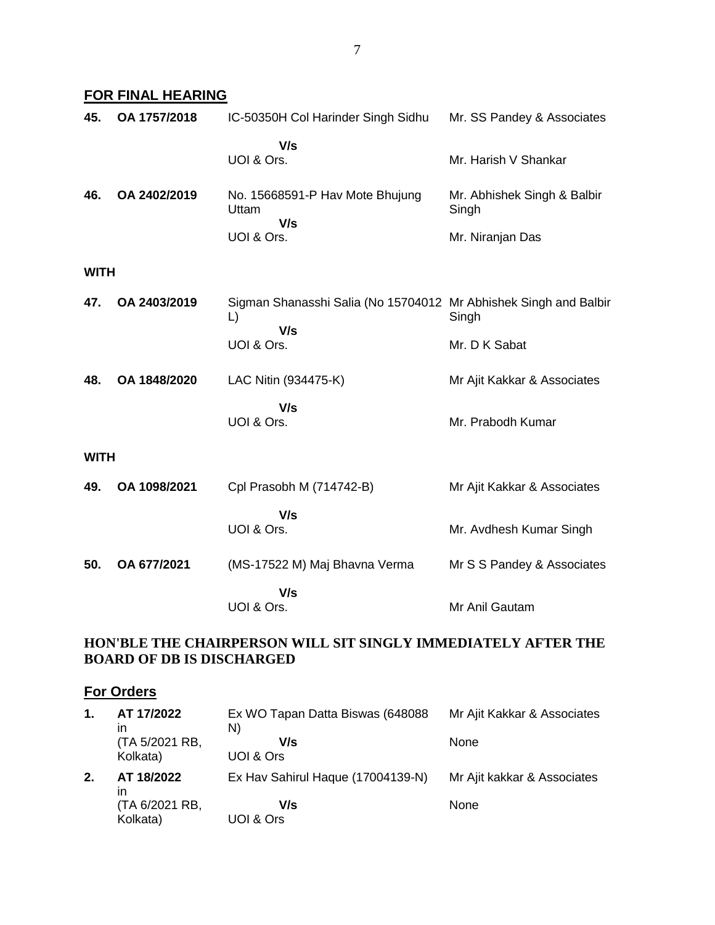**FOR FINAL HEARING**

| 45.         | OA 1757/2018 | IC-50350H Col Harinder Singh Sidhu                                                      | Mr. SS Pandey & Associates           |
|-------------|--------------|-----------------------------------------------------------------------------------------|--------------------------------------|
|             |              | V/s<br>UOI & Ors.                                                                       | Mr. Harish V Shankar                 |
| 46.         | OA 2402/2019 | No. 15668591-P Hav Mote Bhujung<br>Uttam<br>V/s                                         | Mr. Abhishek Singh & Balbir<br>Singh |
|             |              | UOI & Ors.                                                                              | Mr. Niranjan Das                     |
| <b>WITH</b> |              |                                                                                         |                                      |
| 47.         | OA 2403/2019 | Sigman Shanasshi Salia (No 15704012 Mr Abhishek Singh and Balbir<br>$\mathsf{L}$<br>V/s | Singh                                |
|             |              | UOI & Ors.                                                                              | Mr. D K Sabat                        |
| 48.         | OA 1848/2020 | LAC Nitin (934475-K)                                                                    | Mr Ajit Kakkar & Associates          |
|             |              | V/s<br>UOI & Ors.                                                                       | Mr. Prabodh Kumar                    |
| <b>WITH</b> |              |                                                                                         |                                      |
| 49.         | OA 1098/2021 | Cpl Prasobh M (714742-B)                                                                | Mr Ajit Kakkar & Associates          |
|             |              | V/s<br>UOI & Ors.                                                                       | Mr. Avdhesh Kumar Singh              |
| 50.         | OA 677/2021  | (MS-17522 M) Maj Bhavna Verma                                                           | Mr S S Pandey & Associates           |
|             |              | V/s<br>UOI & Ors.                                                                       | Mr Anil Gautam                       |

### **HON'BLE THE CHAIRPERSON WILL SIT SINGLY IMMEDIATELY AFTER THE BOARD OF DB IS DISCHARGED**

## **For Orders**

| 1. | AT 17/2022<br>ın           | Ex WO Tapan Datta Biswas (648088)<br>N) | Mr Ajit Kakkar & Associates |
|----|----------------------------|-----------------------------------------|-----------------------------|
|    | (TA 5/2021 RB,<br>Kolkata) | V/s<br>UOI & Ors                        | None                        |
| 2. | AT 18/2022<br>ın           | Ex Hav Sahirul Haque (17004139-N)       | Mr Ajit kakkar & Associates |
|    | (TA 6/2021 RB,<br>Kolkata) | V/s<br>UOI & Ors                        | <b>None</b>                 |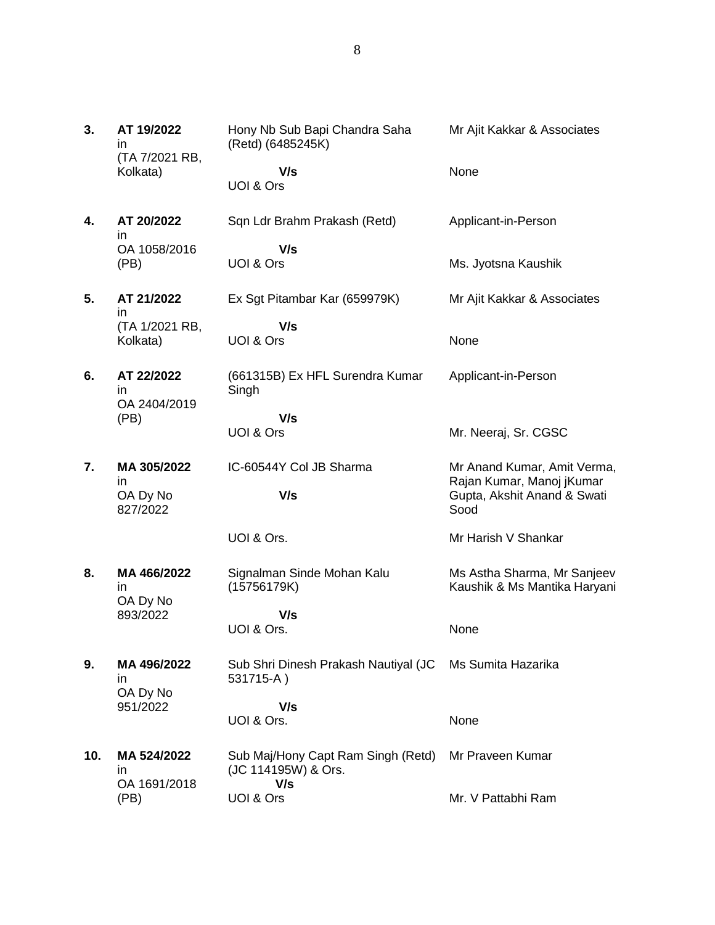| 3.  | AT 19/2022<br>in.<br>(TA 7/2021 RB, | Hony Nb Sub Bapi Chandra Saha<br>(Retd) (6485245K)               | Mr Ajit Kakkar & Associates                                 |
|-----|-------------------------------------|------------------------------------------------------------------|-------------------------------------------------------------|
|     | Kolkata)                            | V/s<br>UOI & Ors                                                 | None                                                        |
| 4.  | AT 20/2022<br>in.                   | Sqn Ldr Brahm Prakash (Retd)                                     | Applicant-in-Person                                         |
|     | OA 1058/2016<br>(PB)                | V/s<br>UOI & Ors                                                 | Ms. Jyotsna Kaushik                                         |
| 5.  | AT 21/2022<br>in                    | Ex Sgt Pitambar Kar (659979K)                                    | Mr Ajit Kakkar & Associates                                 |
|     | (TA 1/2021 RB,<br>Kolkata)          | V/s<br>UOI & Ors                                                 | None                                                        |
| 6.  | AT 22/2022<br>in.<br>OA 2404/2019   | (661315B) Ex HFL Surendra Kumar<br>Singh                         | Applicant-in-Person                                         |
|     | (PB)                                | V/s<br>UOI & Ors                                                 | Mr. Neeraj, Sr. CGSC                                        |
| 7.  | MA 305/2022<br>in.                  | IC-60544Y Col JB Sharma                                          | Mr Anand Kumar, Amit Verma,<br>Rajan Kumar, Manoj jKumar    |
|     | OA Dy No<br>827/2022                | V/s                                                              | Gupta, Akshit Anand & Swati<br>Sood                         |
|     |                                     | UOI & Ors.                                                       | Mr Harish V Shankar                                         |
| 8.  | MA 466/2022<br>in<br>OA Dy No       | Signalman Sinde Mohan Kalu<br>(15756179K)                        | Ms Astha Sharma, Mr Sanjeev<br>Kaushik & Ms Mantika Haryani |
|     | 893/2022                            | V/s<br>UOI & Ors.                                                | None                                                        |
| 9.  | MA 496/2022<br>in.<br>OA Dy No      | Sub Shri Dinesh Prakash Nautiyal (JC<br>531715-A)                | Ms Sumita Hazarika                                          |
|     | 951/2022                            | V/s                                                              |                                                             |
|     |                                     | UOI & Ors.                                                       | None                                                        |
| 10. | MA 524/2022<br>in<br>OA 1691/2018   | Sub Maj/Hony Capt Ram Singh (Retd)<br>(JC 114195W) & Ors.<br>V/s | Mr Praveen Kumar                                            |
|     | (PB)                                | UOI & Ors                                                        | Mr. V Pattabhi Ram                                          |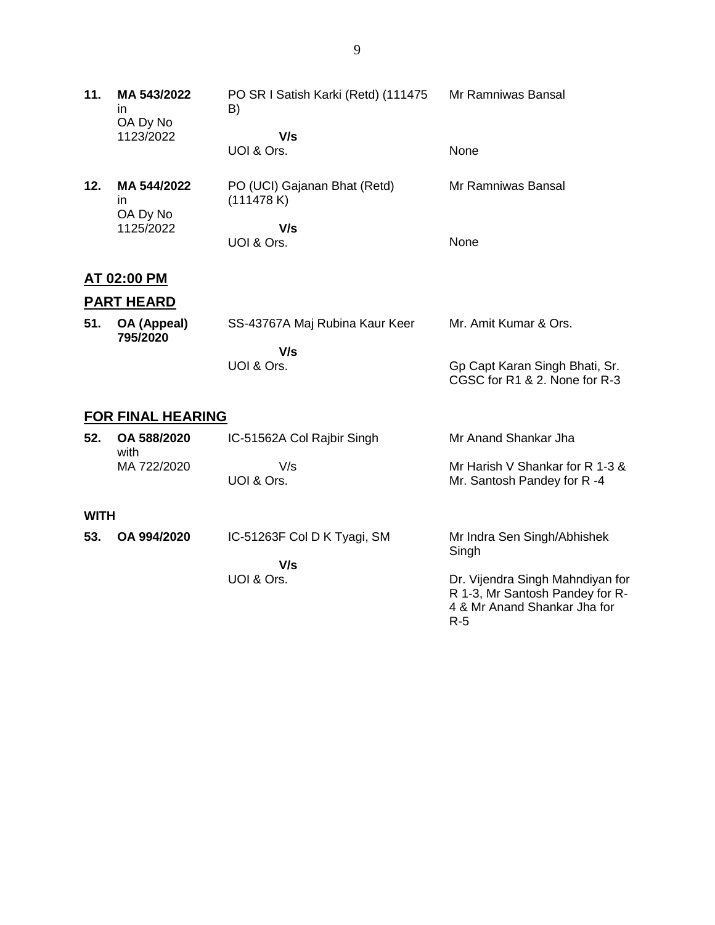- **11. MA 543/2022** in OA Dy No 1123/2022 PO SR I Satish Karki (Retd) (111475 B)  **V/s** UOI & Ors. Mr Ramniwas Bansal None **12. MA 544/2022** in PO (UCI) Gajanan Bhat (Retd)  $(111478)$ K) Mr Ramniwas Bansal
	- OA Dy No 1125/2022  **V/s** UOI & Ors. None

## **AT 02:00 PM**

## **PART HEARD**

| 51. OA (Appeal)<br>795/2020 | SS-43767A Maj Rubina Kaur Keer | Mr. Amit Kumar & Ors.          |
|-----------------------------|--------------------------------|--------------------------------|
|                             | V/s                            |                                |
|                             | UOI & Ors.                     | Gp Capt Karan Singh Bhati, Sr. |

CGSC for R1 & 2. None for R-3

### **FOR FINAL HEARING**

| 52.         | OA 588/2020<br>with | IC-51562A Col Rajbir Singh  | Mr Anand Shankar Jha                                                                                       |
|-------------|---------------------|-----------------------------|------------------------------------------------------------------------------------------------------------|
|             | MA 722/2020         | V/s<br>UOI & Ors.           | Mr Harish V Shankar for R 1-3 &<br>Mr. Santosh Pandey for R-4                                              |
| <b>WITH</b> |                     |                             |                                                                                                            |
| 53.         | OA 994/2020         | IC-51263F Col D K Tyagi, SM | Mr Indra Sen Singh/Abhishek<br>Singh                                                                       |
|             |                     | V/s                         |                                                                                                            |
|             |                     | UOI & Ors.                  | Dr. Vijendra Singh Mahndiyan for<br>R 1-3, Mr Santosh Pandey for R-<br>4 & Mr Anand Shankar Jha for<br>R-5 |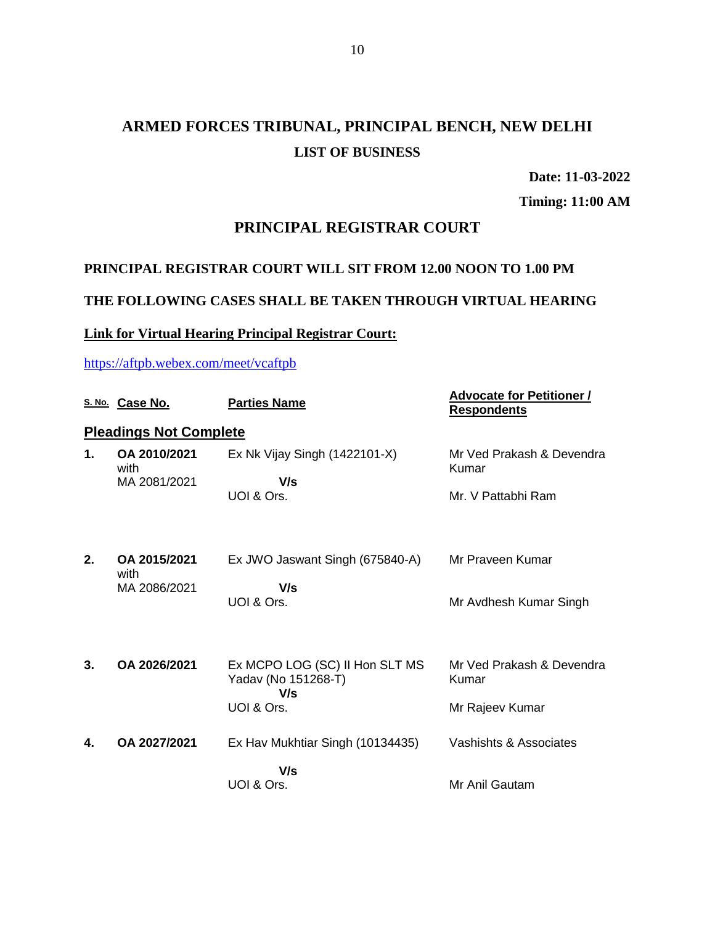# **ARMED FORCES TRIBUNAL, PRINCIPAL BENCH, NEW DELHI LIST OF BUSINESS**

**Date: 11-03-2022**

**Timing: 11:00 AM**

## **PRINCIPAL REGISTRAR COURT**

### **PRINCIPAL REGISTRAR COURT WILL SIT FROM 12.00 NOON TO 1.00 PM**

#### **THE FOLLOWING CASES SHALL BE TAKEN THROUGH VIRTUAL HEARING**

#### **Link for Virtual Hearing Principal Registrar Court:**

<https://aftpb.webex.com/meet/vcaftpb>

|    | S. No. Case No.               | <b>Parties Name</b>                                   | <b>Advocate for Petitioner /</b><br><b>Respondents</b> |
|----|-------------------------------|-------------------------------------------------------|--------------------------------------------------------|
|    | <b>Pleadings Not Complete</b> |                                                       |                                                        |
| 1. | OA 2010/2021<br>with          | Ex Nk Vijay Singh (1422101-X)                         | Mr Ved Prakash & Devendra<br>Kumar                     |
|    | MA 2081/2021                  | V/s<br>UOI & Ors.                                     | Mr. V Pattabhi Ram                                     |
|    |                               |                                                       |                                                        |
| 2. | OA 2015/2021<br>with          | Ex JWO Jaswant Singh (675840-A)                       | Mr Praveen Kumar                                       |
|    | MA 2086/2021                  | V/s                                                   |                                                        |
|    |                               | UOI & Ors.                                            | Mr Avdhesh Kumar Singh                                 |
| 3. | OA 2026/2021                  | Ex MCPO LOG (SC) II Hon SLT MS<br>Yadav (No 151268-T) | Mr Ved Prakash & Devendra<br>Kumar                     |
|    |                               | V/s<br>UOI & Ors.                                     | Mr Rajeev Kumar                                        |
| 4. | OA 2027/2021                  | Ex Hav Mukhtiar Singh (10134435)                      | Vashishts & Associates                                 |
|    |                               | V/s<br>UOI & Ors.                                     | Mr Anil Gautam                                         |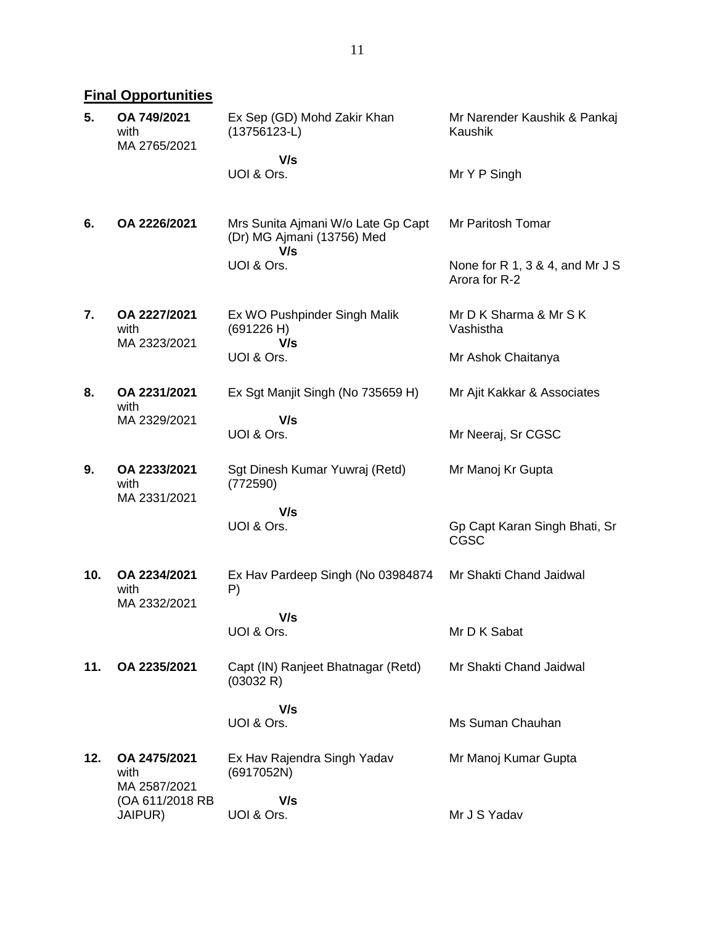**Final Opportunities** 

| 5.  | OA 749/2021<br>with<br>MA 2765/2021        | Ex Sep (GD) Mohd Zakir Khan<br>$(13756123-L)$                           | Mr Narender Kaushik & Pankaj<br>Kaushik          |
|-----|--------------------------------------------|-------------------------------------------------------------------------|--------------------------------------------------|
|     |                                            | V/s<br>UOI & Ors.                                                       | Mr Y P Singh                                     |
| 6.  | OA 2226/2021                               | Mrs Sunita Ajmani W/o Late Gp Capt<br>(Dr) MG Ajmani (13756) Med<br>V/s | Mr Paritosh Tomar                                |
|     |                                            | UOI & Ors.                                                              | None for R 1, 3 & 4, and Mr J S<br>Arora for R-2 |
| 7.  | OA 2227/2021<br>with                       | Ex WO Pushpinder Singh Malik<br>(691226 H)                              | Mr D K Sharma & Mr S K<br>Vashistha              |
|     | MA 2323/2021                               | V/s<br>UOI & Ors.                                                       | Mr Ashok Chaitanya                               |
| 8.  | OA 2231/2021<br>with                       | Ex Sgt Manjit Singh (No 735659 H)                                       | Mr Ajit Kakkar & Associates                      |
|     | MA 2329/2021                               | V/s<br>UOI & Ors.                                                       | Mr Neeraj, Sr CGSC                               |
| 9.  | OA 2233/2021<br>with<br>MA 2331/2021       | Sgt Dinesh Kumar Yuwraj (Retd)<br>(772590)                              | Mr Manoj Kr Gupta                                |
|     |                                            | V/s                                                                     |                                                  |
|     |                                            | UOI & Ors.                                                              | Gp Capt Karan Singh Bhati, Sr<br><b>CGSC</b>     |
| 10. | OA 2234/2021<br>with<br>MA 2332/2021       | Ex Hav Pardeep Singh (No 03984874<br>P)                                 | Mr Shakti Chand Jaidwal                          |
|     |                                            | V/s<br>UOI & Ors.                                                       | Mr D K Sabat                                     |
| 11. | OA 2235/2021                               | Capt (IN) Ranjeet Bhatnagar (Retd)<br>(03032 R)                         | Mr Shakti Chand Jaidwal                          |
|     |                                            | V/s<br>UOI & Ors.                                                       | Ms Suman Chauhan                                 |
| 12. | OA 2475/2021<br>with                       | Ex Hav Rajendra Singh Yadav<br>(6917052N)                               | Mr Manoj Kumar Gupta                             |
|     | MA 2587/2021<br>(OA 611/2018 RB<br>JAIPUR) | V/s<br>UOI & Ors.                                                       | Mr J S Yadav                                     |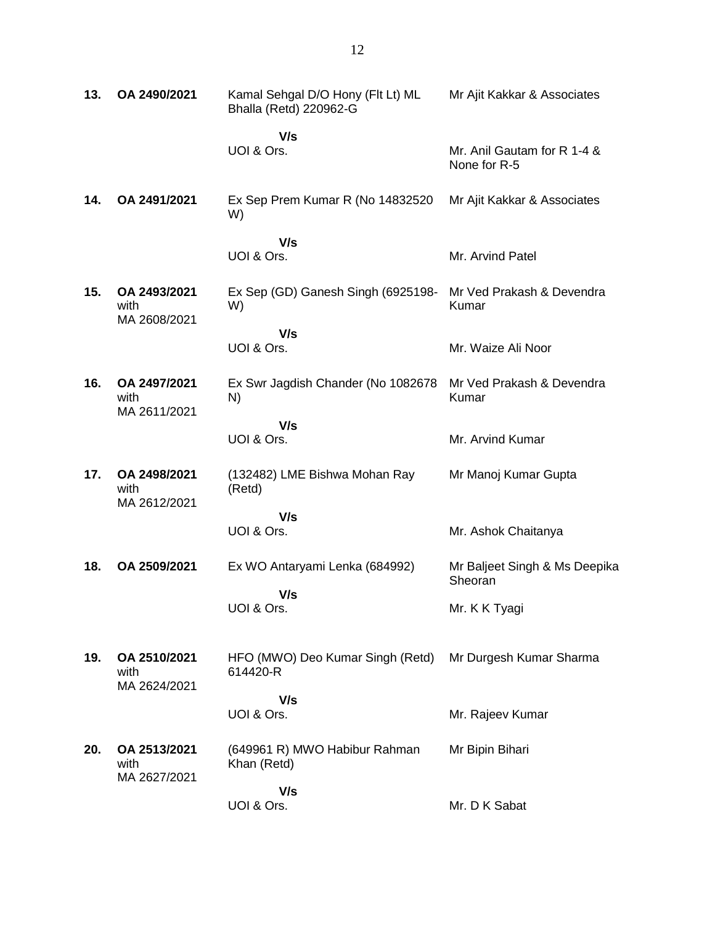| 13. | OA 2490/2021                         | Kamal Sehgal D/O Hony (Flt Lt) ML<br><b>Bhalla (Retd) 220962-G</b> | Mr Ajit Kakkar & Associates                 |
|-----|--------------------------------------|--------------------------------------------------------------------|---------------------------------------------|
|     |                                      | V/s<br>UOI & Ors.                                                  | Mr. Anil Gautam for R 1-4 &<br>None for R-5 |
| 14. | OA 2491/2021                         | Ex Sep Prem Kumar R (No 14832520<br>W)                             | Mr Ajit Kakkar & Associates                 |
|     |                                      | V/s<br>UOI & Ors.                                                  | Mr. Arvind Patel                            |
| 15. | OA 2493/2021<br>with<br>MA 2608/2021 | Ex Sep (GD) Ganesh Singh (6925198-<br>W)                           | Mr Ved Prakash & Devendra<br>Kumar          |
|     |                                      | V/s<br>UOI & Ors.                                                  | Mr. Waize Ali Noor                          |
| 16. | OA 2497/2021<br>with<br>MA 2611/2021 | Ex Swr Jagdish Chander (No 1082678<br>N)                           | Mr Ved Prakash & Devendra<br>Kumar          |
|     |                                      | V/s<br>UOI & Ors.                                                  | Mr. Arvind Kumar                            |
| 17. | OA 2498/2021<br>with<br>MA 2612/2021 | (132482) LME Bishwa Mohan Ray<br>(Retd)                            | Mr Manoj Kumar Gupta                        |
|     |                                      | V/s<br>UOI & Ors.                                                  | Mr. Ashok Chaitanya                         |
| 18. | OA 2509/2021                         | Ex WO Antaryami Lenka (684992)                                     | Mr Baljeet Singh & Ms Deepika<br>Sheoran    |
|     |                                      | V/s<br>UOI & Ors.                                                  | Mr. K K Tyagi                               |
| 19. | OA 2510/2021<br>with<br>MA 2624/2021 | HFO (MWO) Deo Kumar Singh (Retd)<br>614420-R                       | Mr Durgesh Kumar Sharma                     |
|     |                                      | V/s<br>UOI & Ors.                                                  | Mr. Rajeev Kumar                            |
| 20. | OA 2513/2021<br>with<br>MA 2627/2021 | (649961 R) MWO Habibur Rahman<br>Khan (Retd)                       | Mr Bipin Bihari                             |
|     |                                      | V/s<br>UOI & Ors.                                                  | Mr. D K Sabat                               |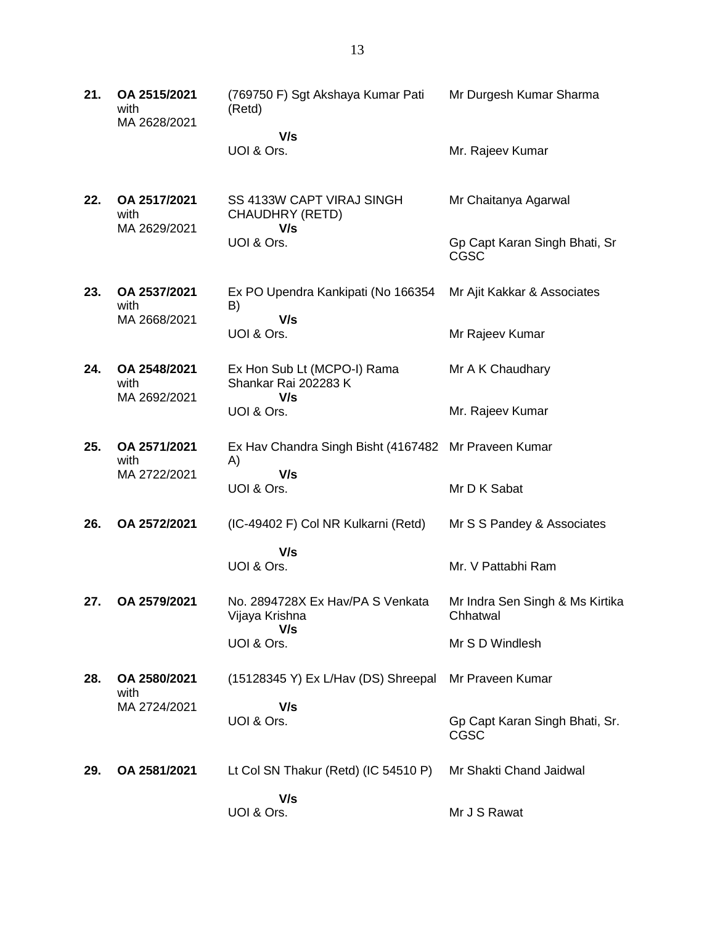| 21. | OA 2515/2021<br>with<br>MA 2628/2021 | (769750 F) Sgt Akshaya Kumar Pati<br>(Retd)                | Mr Durgesh Kumar Sharma                     |
|-----|--------------------------------------|------------------------------------------------------------|---------------------------------------------|
|     |                                      | V/s<br>UOI & Ors.                                          | Mr. Rajeev Kumar                            |
| 22. | OA 2517/2021<br>with<br>MA 2629/2021 | SS 4133W CAPT VIRAJ SINGH<br>CHAUDHRY (RETD)<br>V/s        | Mr Chaitanya Agarwal                        |
|     |                                      | UOI & Ors.                                                 | Gp Capt Karan Singh Bhati, Sr<br>CGSC       |
| 23. | OA 2537/2021<br>with                 | Ex PO Upendra Kankipati (No 166354<br>B)<br>V/s            | Mr Ajit Kakkar & Associates                 |
|     | MA 2668/2021                         | UOI & Ors.                                                 | Mr Rajeev Kumar                             |
| 24. | OA 2548/2021<br>with                 | Ex Hon Sub Lt (MCPO-I) Rama<br>Shankar Rai 202283 K<br>V/s | Mr A K Chaudhary                            |
|     | MA 2692/2021                         | UOI & Ors.                                                 | Mr. Rajeev Kumar                            |
| 25. | OA 2571/2021<br>with                 | Ex Hav Chandra Singh Bisht (4167482 Mr Praveen Kumar<br>A) |                                             |
|     | MA 2722/2021                         | V/s<br>UOI & Ors.                                          | Mr D K Sabat                                |
| 26. | OA 2572/2021                         | (IC-49402 F) Col NR Kulkarni (Retd)                        | Mr S S Pandey & Associates                  |
|     |                                      | V/s<br>UOI & Ors.                                          | Mr. V Pattabhi Ram                          |
| 27. | OA 2579/2021                         | No. 2894728X Ex Hav/PA S Venkata<br>Vijaya Krishna<br>V/s  | Mr Indra Sen Singh & Ms Kirtika<br>Chhatwal |
|     |                                      | UOI & Ors.                                                 | Mr S D Windlesh                             |
| 28. | OA 2580/2021<br>with                 | (15128345 Y) Ex L/Hav (DS) Shreepal                        | Mr Praveen Kumar                            |
|     | MA 2724/2021                         | V/s<br>UOI & Ors.                                          | Gp Capt Karan Singh Bhati, Sr.<br>CGSC      |
| 29. | OA 2581/2021                         | Lt Col SN Thakur (Retd) (IC 54510 P)                       | Mr Shakti Chand Jaidwal                     |
|     |                                      | V/s<br>UOI & Ors.                                          | Mr J S Rawat                                |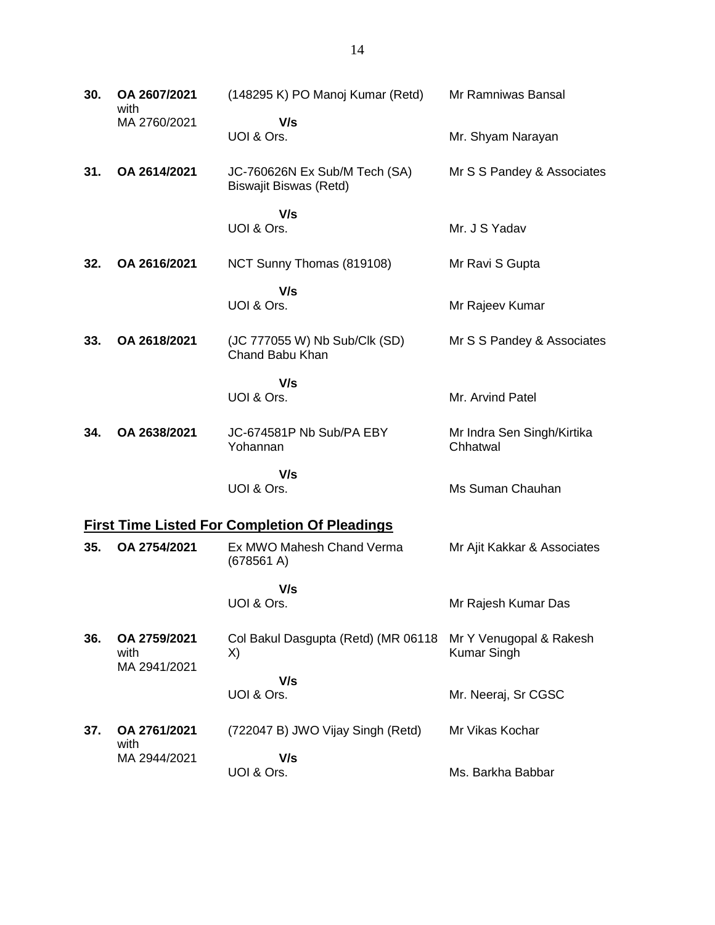| 30. | OA 2607/2021<br>with | (148295 K) PO Manoj Kumar (Retd)                        | Mr Ramniwas Bansal                            |
|-----|----------------------|---------------------------------------------------------|-----------------------------------------------|
|     | MA 2760/2021         | V/s<br>UOI & Ors.                                       | Mr. Shyam Narayan                             |
| 31. | OA 2614/2021         | JC-760626N Ex Sub/M Tech (SA)<br>Biswajit Biswas (Retd) | Mr S S Pandey & Associates                    |
|     |                      | V/s                                                     |                                               |
|     |                      | UOI & Ors.                                              | Mr. J S Yadav                                 |
| 32. | OA 2616/2021         | NCT Sunny Thomas (819108)                               | Mr Ravi S Gupta                               |
|     |                      | V/s<br>UOI & Ors.                                       | Mr Rajeev Kumar                               |
|     |                      |                                                         |                                               |
| 33. | OA 2618/2021         | (JC 777055 W) Nb Sub/Clk (SD)<br>Chand Babu Khan        | Mr S S Pandey & Associates                    |
|     |                      | V/s                                                     |                                               |
|     |                      | UOI & Ors.                                              | Mr. Arvind Patel                              |
| 34. | OA 2638/2021         | JC-674581P Nb Sub/PA EBY<br>Yohannan                    | Mr Indra Sen Singh/Kirtika<br>Chhatwal        |
|     |                      | V/s                                                     |                                               |
|     |                      | UOI & Ors.                                              | Ms Suman Chauhan                              |
|     |                      | <b>First Time Listed For Completion Of Pleadings</b>    |                                               |
| 35. | OA 2754/2021         | Ex MWO Mahesh Chand Verma<br>(678561 A)                 | Mr Ajit Kakkar & Associates                   |
|     |                      | V/s                                                     |                                               |
|     |                      | UOI & Ors.                                              | Mr Rajesh Kumar Das                           |
| 36. | OA 2759/2021<br>with | Col Bakul Dasgupta (Retd) (MR 06118<br>X)               | Mr Y Venugopal & Rakesh<br><b>Kumar Singh</b> |
|     | MA 2941/2021         | V/s                                                     |                                               |
|     |                      | UOI & Ors.                                              | Mr. Neeraj, Sr CGSC                           |
| 37. | OA 2761/2021<br>with | (722047 B) JWO Vijay Singh (Retd)                       | Mr Vikas Kochar                               |
|     | MA 2944/2021         | V/s                                                     |                                               |
|     |                      | UOI & Ors.                                              | Ms. Barkha Babbar                             |